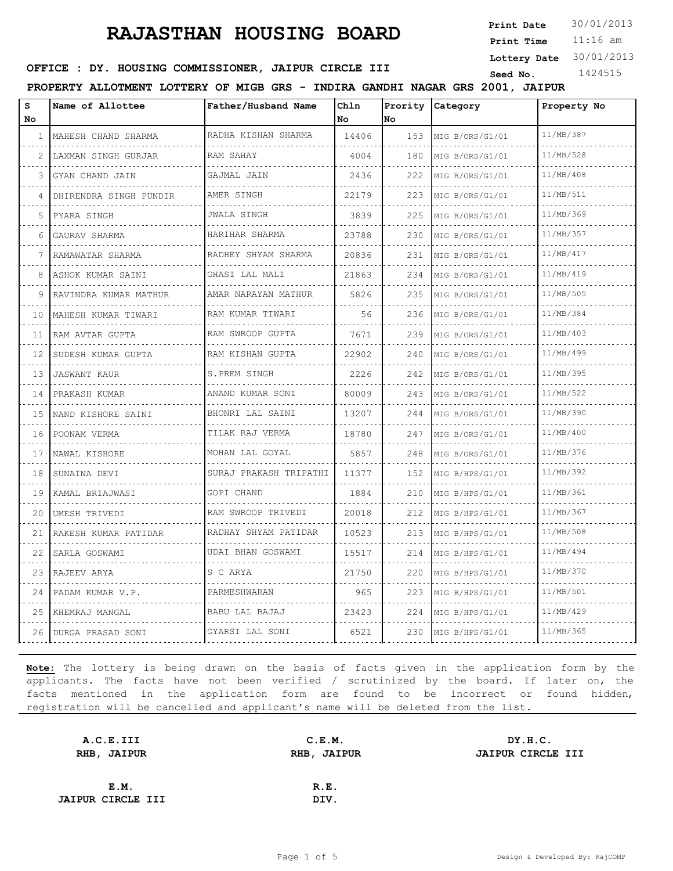**Print Date**  $30/01/2013$ 

11:16 am **Print Time Lottery Date** 30/01/2013

**SEED : DY. HOUSING COMMISSIONER, JAIPUR CIRCLE III** Seed No. 1424515

**PROPERTY ALLOTMENT LOTTERY OF MIGB GRS - INDIRA GANDHI NAGAR GRS 2001, JAIPUR**

| s<br><b>No</b> | Name of Allottee         | Father/Husband Name    | Chln<br>No | Prority<br>lNo. | Category        | Property No |
|----------------|--------------------------|------------------------|------------|-----------------|-----------------|-------------|
| 1              | MAHESH CHAND SHARMA      | RADHA KISHAN SHARMA    | 14406      | 153             | MIG B/ORS/G1/01 | 11/MB/387   |
| 2              | LAXMAN SINGH GURJAR<br>. | RAM SAHAY              | 4004       | 180             | MIG B/ORS/G1/01 | 11/MB/528   |
| 3              | GYAN CHAND JAIN          | GAJMAL JAIN            | 2436       | 222             | MIG B/ORS/G1/01 | 11/MB/408   |
| 4              | DHIRENDRA SINGH PUNDIR   | AMER SINGH             | 22179      | 223             | MIG B/ORS/G1/01 | 11/MB/511   |
| 5              | PYARA SINGH              | JWALA SINGH            | 3839       | 225             | MIG B/ORS/G1/01 | 11/MB/369   |
| 6              | GAURAV SHARMA            | HARIHAR SHARMA         | 23788      | 230             | MIG B/ORS/G1/01 | 11/MB/357   |
|                | RAMAWATAR SHARMA         | RADHEY SHYAM SHARMA    | 20836      | 231             | MIG B/ORS/G1/01 | 11/MB/417   |
| 8              | ASHOK KUMAR SAINI        | .<br>GHASI LAL MALI    | 21863      | 234             | MIG B/ORS/G1/01 | 11/MB/419   |
| 9              | RAVINDRA KUMAR MATHUR    | AMAR NARAYAN MATHUR    | 5826       | 235             | MIG B/ORS/G1/01 | 11/MB/505   |
| 10             | MAHESH KUMAR TIWARI      | RAM KUMAR TIWARI<br>.  | 56         | 236             | MIG B/ORS/G1/01 | 11/MB/384   |
| 11             | RAM AVTAR GUPTA<br>.     | RAM SWROOP GUPTA       | 7671       | 239             | MIG B/ORS/G1/01 | 11/MB/403   |
| 12             | SUDESH KUMAR GUPTA       | RAM KISHAN GUPTA       | 22902      | 240             | MIG B/ORS/G1/01 | 11/MB/499   |
| 13             | <b>JASWANT KAUR</b>      | S.PREM SINGH           | 2226       | 242             | MIG B/ORS/G1/01 | 11/MB/395   |
| 14             | PRAKASH KUMAR            | ANAND KUMAR SONI<br>.  | 80009      | 243             | MIG B/ORS/G1/01 | 11/MB/522   |
| 15             | NAND KISHORE SAINI       | BHONRI LAL SAINI       | 13207      | 244             | MIG B/ORS/G1/01 | 11/MB/390   |
| 16             | POONAM VERMA             | TILAK RAJ VERMA<br>.   | 18780      | 247             | MIG B/ORS/G1/01 | 11/MB/400   |
| 17             | NAWAL KISHORE            | MOHAN LAL GOYAL        | 5857       | 248             | MIG B/ORS/G1/01 | 11/MB/376   |
| 18             | SUNAINA DEVI             | SURAJ PRAKASH TRIPATHI | 11377      | 152             | MIG B/HPS/G1/01 | 11/MB/392   |
| 19             | KAMAL BRIAJWASI<br>.     | GOPI CHAND             | 1884       | 210             | MIG B/HPS/G1/01 | 11/MB/361   |
| 20             | UMESH TRIVEDI            | RAM SWROOP TRIVEDI     | 20018      | 212             | MIG B/HPS/G1/01 | 11/MB/367   |
| 21             | RAKESH KUMAR PATIDAR     | RADHAY SHYAM PATIDAR   | 10523      | 213             | MIG B/HPS/G1/01 | 11/MB/508   |
| 22             | SARLA GOSWAMI            | UDAI BHAN GOSWAMI      | 15517      | 214             | MIG B/HPS/G1/01 | 11/MB/494   |
| 23             | RAJEEV ARYA              | S C ARYA               | 21750      | 220             | MIG B/HPS/G1/01 | 11/MB/370   |
| 24             | PADAM KUMAR V.P.         | PARMESHWARAN           | 965        | 223             | MIG B/HPS/G1/01 | 11/MB/501   |
|                | 25 KHEMRAJ MANGAL        | BABU LAL BAJAJ<br>.    | 23423      | 224             | MIG B/HPS/G1/01 | 11/MB/429   |
|                | 26 DURGA PRASAD SONI     | GYARSI LAL SONI        | 6521       | 230             | MIG B/HPS/G1/01 | 11/MB/365   |

| A.C.E.III                | C.E.M.      | DY.H.C.           |
|--------------------------|-------------|-------------------|
| RHB, JAIPUR              | RHB, JAIPUR | JAIPUR CIRCLE III |
|                          |             |                   |
| E.M.                     | R.E.        |                   |
| <b>JAIPUR CIRCLE III</b> | DIV.        |                   |
|                          |             |                   |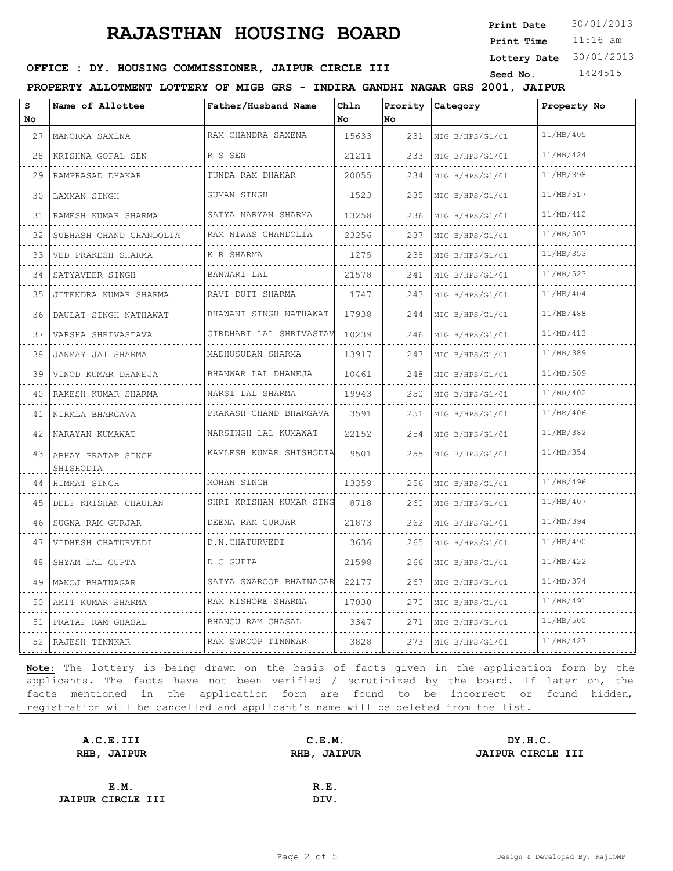**Print Date**  $30/01/2013$ 

11:16 am **Print Time Lottery Date** 30/01/2013

#### **SEED : DY. HOUSING COMMISSIONER, JAIPUR CIRCLE III** Seed No. 1424515

**PROPERTY ALLOTMENT LOTTERY OF MIGB GRS - INDIRA GANDHI NAGAR GRS 2001, JAIPUR**

| s  | Name of Allottee                | Father/Husband Name      | Chln  | Prority | Category        | Property No |
|----|---------------------------------|--------------------------|-------|---------|-----------------|-------------|
| No |                                 |                          | No    | No      |                 |             |
| 27 | MANORMA SAXENA                  | RAM CHANDRA SAXENA       | 15633 | 231     | MIG B/HPS/G1/01 | 11/MB/405   |
| 28 | KRISHNA GOPAL SEN               | R S SEN                  | 21211 | 233     | MIG B/HPS/G1/01 | 11/MB/424   |
| 29 | RAMPRASAD DHAKAR                | TUNDA RAM DHAKAR         | 20055 | 234     | MIG B/HPS/G1/01 | 11/MB/398   |
| 30 | LAXMAN SINGH                    | GUMAN SINGH              | 1523  | 235     | MIG B/HPS/G1/01 | 11/MB/517   |
| 31 | RAMESH KUMAR SHARMA<br>.        | SATYA NARYAN SHARMA      | 13258 | 236     | MIG B/HPS/G1/01 | 11/MB/412   |
| 32 | SUBHASH CHAND CHANDOLIA         | RAM NIWAS CHANDOLIA      | 23256 | 237     | MIG B/HPS/G1/01 | 11/MB/507   |
| 33 | VED PRAKESH SHARMA              | K R SHARMA               | 1275  | 238     | MIG B/HPS/G1/01 | 11/MB/353   |
| 34 | SATYAVEER SINGH<br>.            | BANWARI LAL              | 21578 | 241     | MIG B/HPS/G1/01 | 11/MB/523   |
| 35 | JITENDRA KUMAR SHARMA           | RAVI DUTT SHARMA         | 1747  | 243     | MIG B/HPS/G1/01 | 11/MB/404   |
| 36 | DAULAT SINGH NATHAWAT           | BHAWANI SINGH NATHAWAT   | 17938 | 244     | MIG B/HPS/G1/01 | 11/MB/488   |
| 37 | VARSHA SHRIVASTAVA              | GIRDHARI LAL SHRIVASTAV  | 10239 | 246     | MIG B/HPS/G1/01 | 11/MB/413   |
| 38 | JANMAY JAI SHARMA<br>.          | MADHUSUDAN SHARMA        | 13917 | 247     | MIG B/HPS/G1/01 | 11/MB/389   |
| 39 | VINOD KUMAR DHANEJA             | BHANWAR LAL DHANEJA<br>. | 10461 | 248     | MIG B/HPS/G1/01 | 11/MB/509   |
| 40 | RAKESH KUMAR SHARMA             | NARSI LAL SHARMA         | 19943 | 250     | MIG B/HPS/G1/01 | 11/MB/402   |
| 41 | NIRMLA BHARGAVA                 | PRAKASH CHAND BHARGAVA   | 3591  | 251     | MIG B/HPS/G1/01 | 11/MB/406   |
| 42 | NARAYAN KUMAWAT                 | NARSINGH LAL KUMAWAT     | 22152 | 254     | MIG B/HPS/G1/01 | 11/MB/382   |
| 43 | ABHAY PRATAP SINGH<br>SHISHODIA | KAMLESH KUMAR SHISHODIA  | 9501  | 255     | MIG B/HPS/G1/01 | 11/MB/354   |
| 44 | HIMMAT SINGH                    | MOHAN SINGH              | 13359 | 256     | MIG B/HPS/G1/01 | 11/MB/496   |
| 45 | DEEP KRISHAN CHAUHAN            | SHRI KRISHAN KUMAR SING  | 8718  | 260     | MIG B/HPS/G1/01 | 11/MB/407   |
| 46 | SUGNA RAM GURJAR                | DEENA RAM GURJAR         | 21873 | 262     | MIG B/HPS/G1/01 | 11/MB/394   |
| 47 | VIDHESH CHATURVEDI              | D.N.CHATURVEDI           | 3636  | 265     | MIG B/HPS/G1/01 | 11/MB/490   |
| 48 | SHYAM LAL GUPTA                 | D C GUPTA                | 21598 | 266     | MIG B/HPS/G1/01 | 11/MB/422   |
| 49 | MANOJ BHATNAGAR                 | SATYA SWAROOP BHATNAGAR  | 22177 | 267     | MIG B/HPS/G1/01 | 11/MB/374   |
| 50 | AMIT KUMAR SHARMA               | RAM KISHORE SHARMA       | 17030 | 270     | MIG B/HPS/G1/01 | 11/MB/491   |
| 51 | PRATAP RAM GHASAL               | BHANGU RAM GHASAL        | 3347  | 271     | MIG B/HPS/G1/01 | 11/MB/500   |
| 52 | RAJESH TINNKAR                  | RAM SWROOP TINNKAR       | 3828  | 273     | MIG B/HPS/G1/01 | 11/MB/427   |

| A.C.E.III                |      | C.E.M.      | DY.H.C.                  |
|--------------------------|------|-------------|--------------------------|
| RHB, JAIPUR              |      | RHB, JAIPUR | <b>JAIPUR CIRCLE III</b> |
|                          |      |             |                          |
|                          | E.M. | R.E.        |                          |
| <b>JAIPUR CIRCLE III</b> |      | DIV.        |                          |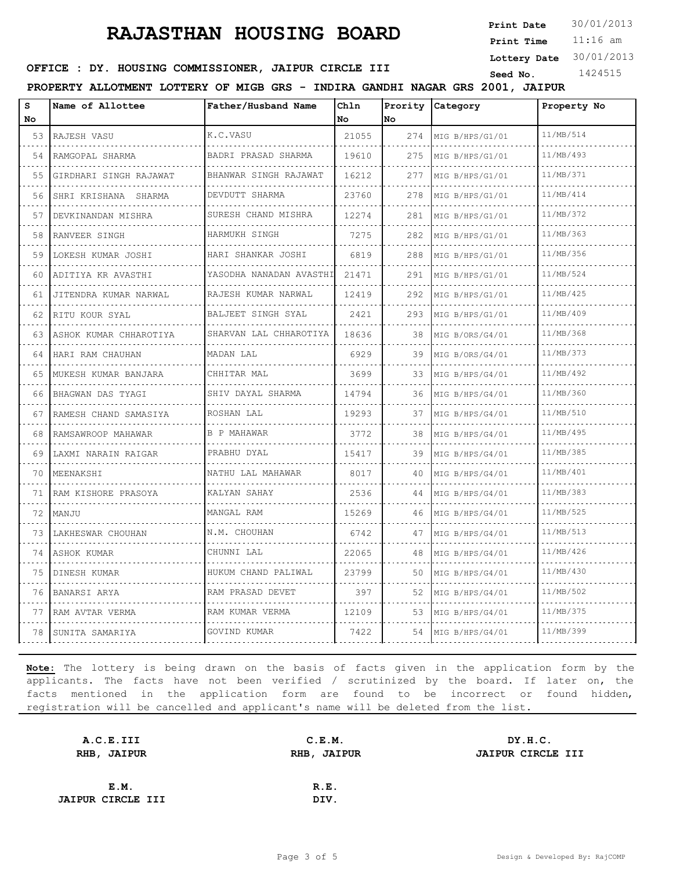**Print Date**  $30/01/2013$ 

11:16 am **Print Time Lottery Date** 30/01/2013

#### **SEED : DY. HOUSING COMMISSIONER, JAIPUR CIRCLE III** Seed No. 1424515

**PROPERTY ALLOTMENT LOTTERY OF MIGB GRS - INDIRA GANDHI NAGAR GRS 2001, JAIPUR**

| S<br>No. | Name of Allottee        | Father/Husband Name          | Chln<br>No | Prority<br>No | Category             | Property No |
|----------|-------------------------|------------------------------|------------|---------------|----------------------|-------------|
| 53       | RAJESH VASU             | K.C.VASU                     | 21055      | 274           | MIG B/HPS/G1/01      | 11/MB/514   |
| .<br>54  | RAMGOPAL SHARMA         | BADRI PRASAD SHARMA<br>.     | 19610      | 275           | MIG B/HPS/G1/01      | 11/MB/493   |
| 55       | GIRDHARI SINGH RAJAWAT  | BHANWAR SINGH RAJAWAT        | 16212      | 277           | MIG B/HPS/G1/01      | 11/MB/371   |
| 56       | SHRI KRISHANA SHARMA    | DEVDUTT SHARMA<br>.          | 23760      | 278           | MIG B/HPS/G1/01      | 11/MB/414   |
| 57       | DEVKINANDAN MISHRA      | SURESH CHAND MISHRA          | 12274      | 281           | MIG B/HPS/G1/01<br>. | 11/MB/372   |
| 58       | RANVEER SINGH           | .<br>HARMUKH SINGH           | 7275       | 282           | MIG B/HPS/G1/01      | 11/MB/363   |
| 59       | LOKESH KUMAR JOSHI      | HARI SHANKAR JOSHI           | 6819       | 288           | MIG B/HPS/G1/01      | 11/MB/356   |
| 60       | ADITIYA KR AVASTHI<br>. | YASODHA NANADAN AVASTHI<br>. | 21471      | 291           | MIG B/HPS/G1/01<br>. | 11/MB/524   |
| 61       | JITENDRA KUMAR NARWAL   | RAJESH KUMAR NARWAL<br>.     | 12419      | 292           | MIG B/HPS/G1/01      | 11/MB/425   |
| 62       | RITU KOUR SYAL          | BALJEET SINGH SYAL<br>.      | 2421       | 293           | MIG B/HPS/G1/01      | 11/MB/409   |
| 63       | ASHOK KUMAR CHHAROTIYA  | SHARVAN LAL CHHAROTIYA       | 18636      | 38            | MIG B/ORS/G4/01      | 11/MB/368   |
| 64       | HARI RAM CHAUHAN        | MADAN LAL                    | 6929       | 39            | MIG B/ORS/G4/01      | 11/MB/373   |
| 65       | MUKESH KUMAR BANJARA    | CHHITAR MAL                  | 3699       | 33            | MIG B/HPS/G4/01      | 11/MB/492   |
| 66       | BHAGWAN DAS TYAGI<br>.  | SHIV DAYAL SHARMA            | 14794      | 36            | MIG B/HPS/G4/01      | 11/MB/360   |
| 67       | RAMESH CHAND SAMASIYA   | ROSHAN LAL                   | 19293      | 37            | MIG B/HPS/G4/01      | 11/MB/510   |
| 68       | RAMSAWROOP MAHAWAR<br>. | <b>B P MAHAWAR</b>           | 3772       | 38            | MIG B/HPS/G4/01      | 11/MB/495   |
| 69       | LAXMI NARAIN RAIGAR     | PRABHU DYAL                  | 15417      | 39            | MIG B/HPS/G4/01      | 11/MB/385   |
| 70       | MEENAKSHI               | NATHU LAL MAHAWAR            | 8017       | 40            | MIG B/HPS/G4/01      | 11/MB/401   |
| 71       | RAM KISHORE PRASOYA     | KALYAN SAHAY                 | 2536       | 44            | MIG B/HPS/G4/01      | 11/MB/383   |
| 72       | MANJU                   | MANGAL RAM                   | 15269      | 46            | MIG B/HPS/G4/01      | 11/MB/525   |
| 73       | LAKHESWAR CHOUHAN       | N.M. CHOUHAN                 | 6742       | 47            | MIG B/HPS/G4/01      | 11/MB/513   |
| 74       | ASHOK KUMAR             | CHUNNI LAL                   | 22065      | 48            | MIG B/HPS/G4/01      | 11/MB/426   |
| 75       | DINESH KUMAR            | HUKUM CHAND PALIWAL          | 23799      | 50            | MIG B/HPS/G4/01      | 11/MB/430   |
| 76       | BANARSI ARYA            | RAM PRASAD DEVET             | 397        | 52            | MIG B/HPS/G4/01      | 11/MB/502   |
| 77       | RAM AVTAR VERMA         | RAM KUMAR VERMA              | 12109      | 53            | MIG B/HPS/G4/01      | 11/MB/375   |
| 78       | SUNITA SAMARIYA         | GOVIND KUMAR                 | 7422       | 54            | MIG B/HPS/G4/01      | 11/MB/399   |

| A.C.E.III                |      | DY.H.C.               |
|--------------------------|------|-----------------------|
| RHB, JAIPUR              |      | JAIPUR CIRCLE III     |
|                          |      |                       |
|                          | R.E. |                       |
| <b>JAIPUR CIRCLE III</b> | DIV. |                       |
|                          |      | C.E.M.<br>RHB, JAIPUR |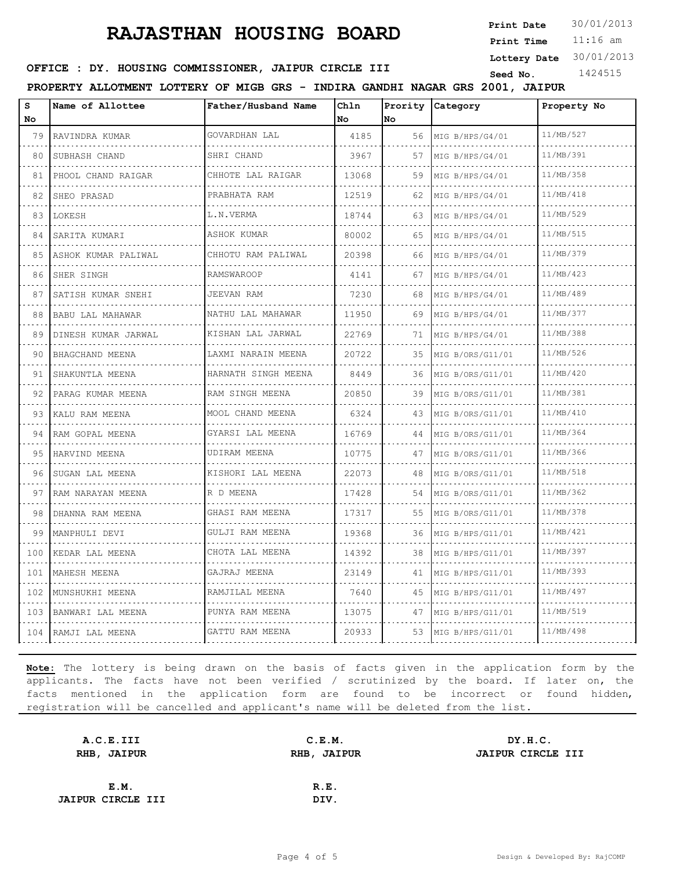**Print Date**  $30/01/2013$ 

11:16 am **Print Time Lottery Date** 30/01/2013

#### **SEED : DY. HOUSING COMMISSIONER, JAIPUR CIRCLE III** Seed No. 1424515

**PROPERTY ALLOTMENT LOTTERY OF MIGB GRS - INDIRA GANDHI NAGAR GRS 2001, JAIPUR**

| S<br>No  | Name of Allottee       | Father/Husband Name    | Chln<br>l No | No | Prority Category     | Property No |
|----------|------------------------|------------------------|--------------|----|----------------------|-------------|
| 79       | RAVINDRA KUMAR         | GOVARDHAN LAL          | 4185         | 56 | MIG B/HPS/G4/01      | 11/MB/527   |
| 80       | .<br>SUBHASH CHAND     | .<br>SHRI CHAND        | 3967         | 57 | .<br>MIG B/HPS/G4/01 | 11/MB/391   |
| 81       | PHOOL CHAND RAIGAR     | CHHOTE LAL RAIGAR      | 13068        | 59 | MIG B/HPS/G4/01      | 11/MB/358   |
| 82       | SHEO PRASAD            | PRABHATA RAM           | 12519        | 62 | MIG B/HPS/G4/01      | 11/MB/418   |
| 83       | LOKESH                 | L.N.VERMA              | 18744        | 63 | MIG B/HPS/G4/01      | 11/MB/529   |
| 84       | SARITA KUMARI          | <b>ASHOK KUMAR</b>     | 80002        | 65 | MIG B/HPS/G4/01      | 11/MB/515   |
| 85       | ASHOK KUMAR PALIWAL    | CHHOTU RAM PALIWAL     | 20398        | 66 | MIG B/HPS/G4/01      | 11/MB/379   |
| 86       | SHER SINGH             | <b>RAMSWAROOP</b>      | 4141         | 67 | MIG B/HPS/G4/01      | 11/MB/423   |
| 87       | SATISH KUMAR SNEHI     | <b>JEEVAN RAM</b>      | 7230         | 68 | MIG B/HPS/G4/01      | 11/MB/489   |
| 88       | BABU LAL MAHAWAR<br>.  | NATHU LAL MAHAWAR<br>. | 11950        | 69 | MIG B/HPS/G4/01      | 11/MB/377   |
| 89       | DINESH KUMAR JARWAL    | KISHAN LAL JARWAL<br>. | 22769        | 71 | MIG B/HPS/G4/01      | 11/MB/388   |
| 90       | BHAGCHAND MEENA        | LAXMI NARAIN MEENA     | 20722        | 35 | MIG B/ORS/G11/01     | 11/MB/526   |
| 91       | SHAKUNTLA MEENA        | HARNATH SINGH MEENA    | 8449         | 36 | MIG B/ORS/G11/01     | 11/MB/420   |
| 92       | PARAG KUMAR MEENA      | RAM SINGH MEENA        | 20850        | 39 | MIG B/ORS/G11/01     | 11/MB/381   |
| 93       | KALU RAM MEENA         | MOOL CHAND MEENA       | 6324         | 43 | MIG B/ORS/G11/01     | 11/MB/410   |
| 94       | RAM GOPAL MEENA        | GYARSI LAL MEENA<br>.  | 16769        | 44 | MIG B/ORS/G11/01     | 11/MB/364   |
| 95       | HARVIND MEENA          | UDIRAM MEENA           | 10775        | 47 | MIG B/ORS/G11/01     | 11/MB/366   |
| 96       | SUGAN LAL MEENA        | KISHORI LAL MEENA      | 22073        | 48 | MIG B/ORS/G11/01     | 11/MB/518   |
| 97       | RAM NARAYAN MEENA<br>. | R D MEENA              | 17428        | 54 | MIG B/ORS/G11/01     | 11/MB/362   |
| 98       | DHANNA RAM MEENA       | GHASI RAM MEENA        | 17317        | 55 | MIG B/ORS/G11/01     | 11/MB/378   |
| 99       | MANPHULI DEVI          | GULJI RAM MEENA        | 19368        | 36 | MIG B/HPS/G11/01     | 11/MB/421   |
| 100      | KEDAR LAL MEENA        | CHOTA LAL MEENA        | 14392        | 38 | MIG B/HPS/G11/01     | 11/MB/397   |
| .<br>101 | MAHESH MEENA           | GAJRAJ MEENA           | 23149        | 41 | MIG B/HPS/G11/01     | 11/MB/393   |
| 102      | MUNSHUKHI MEENA        | RAMJILAL MEENA         | 7640         | 45 | MIG B/HPS/G11/01     | 11/MB/497   |
| 103      | BANWARI LAL MEENA      | PUNYA RAM MEENA        | 13075        | 47 | MIG B/HPS/G11/01     | 11/MB/519   |
| 104      | RAMJI LAL MEENA        | GATTU RAM MEENA        | 20933        | 53 | MIG B/HPS/G11/01     | 11/MB/498   |

| A.C.E.III                |      | DY.H.C.               |
|--------------------------|------|-----------------------|
| RHB, JAIPUR              |      | JAIPUR CIRCLE III     |
|                          |      |                       |
|                          | R.E. |                       |
| <b>JAIPUR CIRCLE III</b> | DIV. |                       |
|                          |      | C.E.M.<br>RHB, JAIPUR |